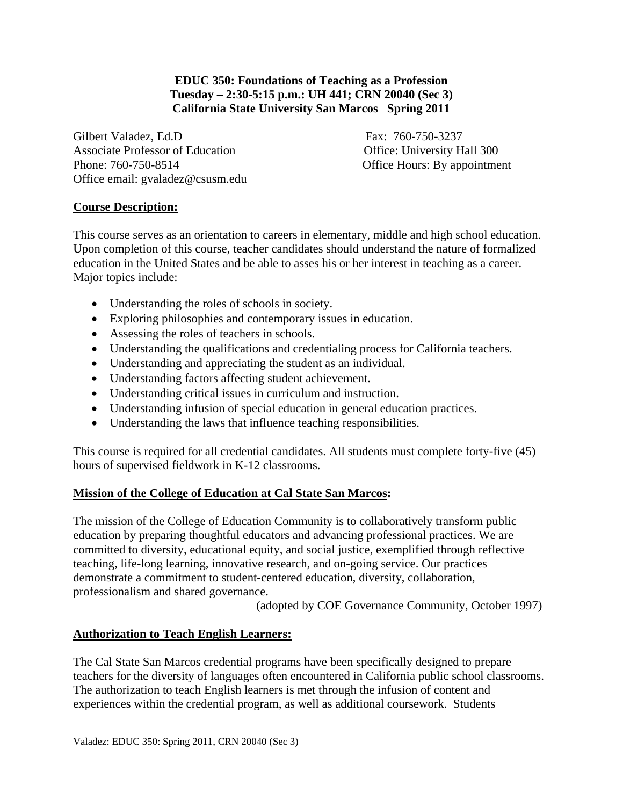# **EDUC 350: Foundations of Teaching as a Profession Tuesday – 2:30-5:15 p.m.: UH 441; CRN 20040 (Sec 3) California State University San Marcos Spring 2011**

Gilbert Valadez, Ed.D Fax: 760-750-3237 Associate Professor of Education **Office:** University Hall 300 Phone: 760-750-8514 Office Hours: By appointment Office email: gvaladez@csusm.edu

# **Course Description:**

This course serves as an orientation to careers in elementary, middle and high school education. Upon completion of this course, teacher candidates should understand the nature of formalized education in the United States and be able to asses his or her interest in teaching as a career. Major topics include:

- Understanding the roles of schools in society.
- Exploring philosophies and contemporary issues in education.
- Assessing the roles of teachers in schools.
- Understanding the qualifications and credentialing process for California teachers.
- Understanding and appreciating the student as an individual.
- Understanding factors affecting student achievement.
- Understanding critical issues in curriculum and instruction.
- Understanding infusion of special education in general education practices.
- Understanding the laws that influence teaching responsibilities.

This course is required for all credential candidates. All students must complete forty-five (45) hours of supervised fieldwork in K-12 classrooms.

# **Mission of the College of Education at Cal State San Marcos:**

The mission of the College of Education Community is to collaboratively transform public education by preparing thoughtful educators and advancing professional practices. We are committed to diversity, educational equity, and social justice, exemplified through reflective teaching, life-long learning, innovative research, and on-going service. Our practices demonstrate a commitment to student-centered education, diversity, collaboration, professionalism and shared governance.

(adopted by COE Governance Community, October 1997)

# **Authorization to Teach English Learners:**

The Cal State San Marcos credential programs have been specifically designed to prepare teachers for the diversity of languages often encountered in California public school classrooms. The authorization to teach English learners is met through the infusion of content and experiences within the credential program, as well as additional coursework. Students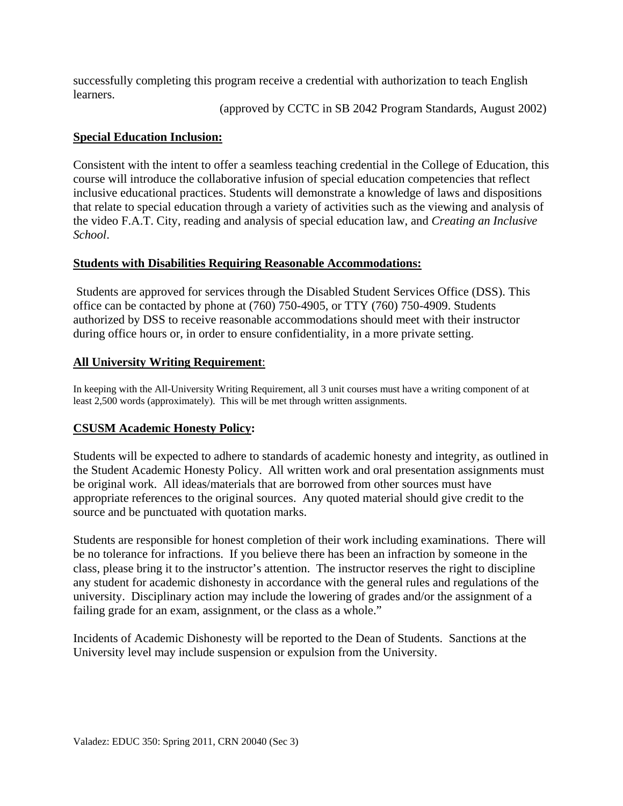successfully completing this program receive a credential with authorization to teach English learners.

(approved by CCTC in SB 2042 Program Standards, August 2002)

# **Special Education Inclusion:**

Consistent with the intent to offer a seamless teaching credential in the College of Education, this course will introduce the collaborative infusion of special education competencies that reflect inclusive educational practices. Students will demonstrate a knowledge of laws and dispositions that relate to special education through a variety of activities such as the viewing and analysis of the video F.A.T. City, reading and analysis of special education law, and *Creating an Inclusive School*.

# **Students with Disabilities Requiring Reasonable Accommodations:**

Students are approved for services through the Disabled Student Services Office (DSS). This office can be contacted by phone at (760) 750-4905, or TTY (760) 750-4909. Students authorized by DSS to receive reasonable accommodations should meet with their instructor during office hours or, in order to ensure confidentiality, in a more private setting.

## **All University Writing Requirement:**

**All University Writing Requirement**: In keeping with the All-University Writing Requirement, all 3 unit courses must have a writing component of at least 2,500 words (approximately). This will be met through written assignments.

# **CSUSM Academic Honesty Policy:**

Students will be expected to adhere to standards of academic honesty and integrity, as outlined in the Student Academic Honesty Policy. All written work and oral presentation assignments must be original work. All ideas/materials that are borrowed from other sources must have appropriate references to the original sources. Any quoted material should give credit to the source and be punctuated with quotation marks.

Students are responsible for honest completion of their work including examinations. There will be no tolerance for infractions. If you believe there has been an infraction by someone in the class, please bring it to the instructor's attention. The instructor reserves the right to discipline any student for academic dishonesty in accordance with the general rules and regulations of the university. Disciplinary action may include the lowering of grades and/or the assignment of a failing grade for an exam, assignment, or the class as a whole."

Incidents of Academic Dishonesty will be reported to the Dean of Students. Sanctions at the University level may include suspension or expulsion from the University.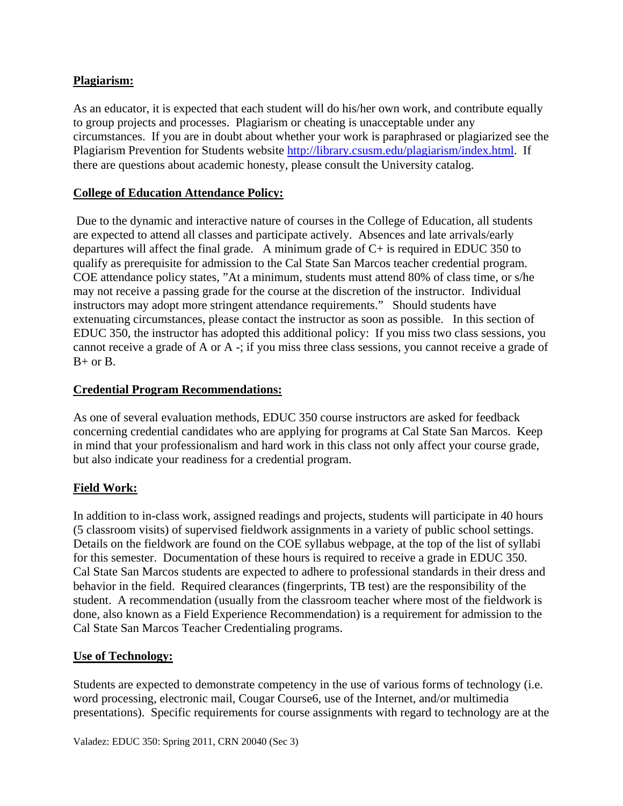# **Plagiarism:**

As an educator, it is expected that each student will do his/her own work, and contribute equally to group projects and processes. Plagiarism or cheating is unacceptable under any circumstances. If you are in doubt about whether your work is paraphrased or plagiarized see the Plagiarism Prevention for Students website http://library.csusm.edu/plagiarism/index.html. If there are questions about academic honesty, please consult the University catalog.

# **College of Education Attendance Policy:**

 Due to the dynamic and interactive nature of courses in the College of Education, all students are expected to attend all classes and participate actively. Absences and late arrivals/early departures will affect the final grade. A minimum grade of  $C+$  is required in EDUC 350 to qualify as prerequisite for admission to the Cal State San Marcos teacher credential program. COE attendance policy states, "At a minimum, students must attend 80% of class time, or s/he may not receive a passing grade for the course at the discretion of the instructor. Individual instructors may adopt more stringent attendance requirements." Should students have extenuating circumstances, please contact the instructor as soon as possible. In this section of EDUC 350, the instructor has adopted this additional policy: If you miss two class sessions, you cannot receive a grade of A or A -; if you miss three class sessions, you cannot receive a grade of  $B+$  or  $B$ .

# **Credential Program Recommendations:**

As one of several evaluation methods, EDUC 350 course instructors are asked for feedback concerning credential candidates who are applying for programs at Cal State San Marcos. Keep in mind that your professionalism and hard work in this class not only affect your course grade, but also indicate your readiness for a credential program.

# **Field Work:**

In addition to in-class work, assigned readings and projects, students will participate in 40 hours (5 classroom visits) of supervised fieldwork assignments in a variety of public school settings. Details on the fieldwork are found on the COE syllabus webpage, at the top of the list of syllabi for this semester. Documentation of these hours is required to receive a grade in EDUC 350. Cal State San Marcos students are expected to adhere to professional standards in their dress and behavior in the field. Required clearances (fingerprints, TB test) are the responsibility of the student. A recommendation (usually from the classroom teacher where most of the fieldwork is done, also known as a Field Experience Recommendation) is a requirement for admission to the Cal State San Marcos Teacher Credentialing programs.

# **Use of Technology:**

Students are expected to demonstrate competency in the use of various forms of technology (i.e. word processing, electronic mail, Cougar Course6, use of the Internet, and/or multimedia presentations). Specific requirements for course assignments with regard to technology are at the

Valadez: EDUC 350: Spring 2011, CRN 20040 (Sec 3)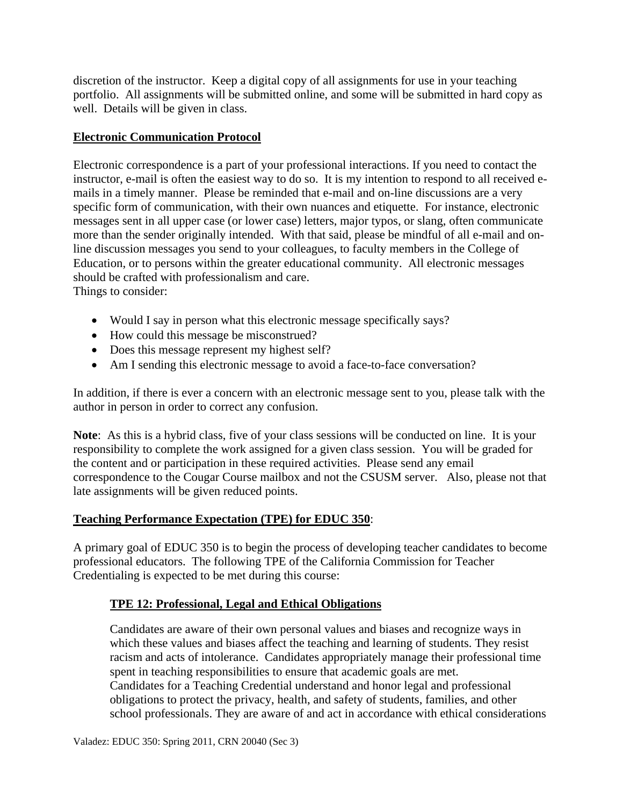discretion of the instructor. Keep a digital copy of all assignments for use in your teaching portfolio. All assignments will be submitted online, and some will be submitted in hard copy as well. Details will be given in class.

# **Electronic Communication Protocol**

Electronic correspondence is a part of your professional interactions. If you need to contact the instructor, e-mail is often the easiest way to do so. It is my intention to respond to all received emails in a timely manner. Please be reminded that e-mail and on-line discussions are a very specific form of communication, with their own nuances and etiquette. For instance, electronic messages sent in all upper case (or lower case) letters, major typos, or slang, often communicate more than the sender originally intended. With that said, please be mindful of all e-mail and online discussion messages you send to your colleagues, to faculty members in the College of Education, or to persons within the greater educational community. All electronic messages should be crafted with professionalism and care.

Things to consider:

- Would I say in person what this electronic message specifically says?
- How could this message be misconstrued?
- Does this message represent my highest self?
- Am I sending this electronic message to avoid a face-to-face conversation?

In addition, if there is ever a concern with an electronic message sent to you, please talk with the author in person in order to correct any confusion.

**Note**: As this is a hybrid class, five of your class sessions will be conducted on line. It is your responsibility to complete the work assigned for a given class session. You will be graded for the content and or participation in these required activities. Please send any email correspondence to the Cougar Course mailbox and not the CSUSM server. Also, please not that late assignments will be given reduced points.

# **Teaching Performance Expectation (TPE) for EDUC 350**:

A primary goal of EDUC 350 is to begin the process of developing teacher candidates to become professional educators. The following TPE of the California Commission for Teacher Credentialing is expected to be met during this course:

# **TPE 12: Professional, Legal and Ethical Obligations**

Candidates are aware of their own personal values and biases and recognize ways in which these values and biases affect the teaching and learning of students. They resist racism and acts of intolerance. Candidates appropriately manage their professional time spent in teaching responsibilities to ensure that academic goals are met. Candidates for a Teaching Credential understand and honor legal and professional obligations to protect the privacy, health, and safety of students, families, and other school professionals. They are aware of and act in accordance with ethical considerations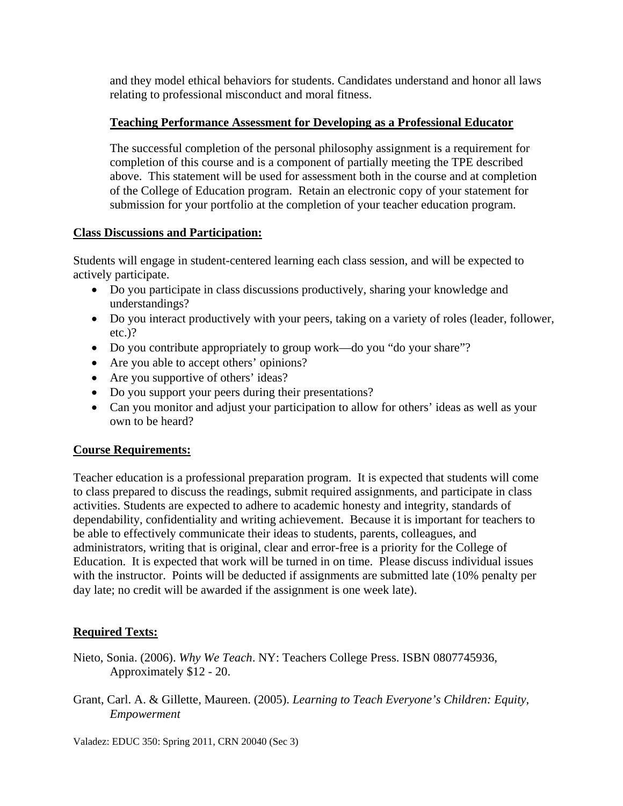and they model ethical behaviors for students. Candidates understand and honor all laws relating to professional misconduct and moral fitness.

# **Teaching Performance Assessment for Developing as a Professional Educator**

The successful completion of the personal philosophy assignment is a requirement for completion of this course and is a component of partially meeting the TPE described above. This statement will be used for assessment both in the course and at completion of the College of Education program. Retain an electronic copy of your statement for submission for your portfolio at the completion of your teacher education program.

# **Class Discussions and Participation:**

Students will engage in student-centered learning each class session, and will be expected to actively participate.

- Do you participate in class discussions productively, sharing your knowledge and understandings?
- Do you interact productively with your peers, taking on a variety of roles (leader, follower, etc.)?
- Do you contribute appropriately to group work—do you "do your share"?
- Are you able to accept others' opinions?
- Are you supportive of others' ideas?
- Do you support your peers during their presentations?
- Can you monitor and adjust your participation to allow for others' ideas as well as your own to be heard?

# **Course Requirements:**

Teacher education is a professional preparation program. It is expected that students will come to class prepared to discuss the readings, submit required assignments, and participate in class activities. Students are expected to adhere to academic honesty and integrity, standards of dependability, confidentiality and writing achievement. Because it is important for teachers to be able to effectively communicate their ideas to students, parents, colleagues, and administrators, writing that is original, clear and error-free is a priority for the College of Education. It is expected that work will be turned in on time. Please discuss individual issues with the instructor. Points will be deducted if assignments are submitted late (10% penalty per day late; no credit will be awarded if the assignment is one week late).

# **Required Texts:**

- Nieto, Sonia. (2006). *Why We Teach*. NY: Teachers College Press. ISBN 0807745936, Approximately \$12 - 20.
- Grant, Carl. A. & Gillette, Maureen. (2005). *Learning to Teach Everyone's Children: Equity, Empowerment*

Valadez: EDUC 350: Spring 2011, CRN 20040 (Sec 3)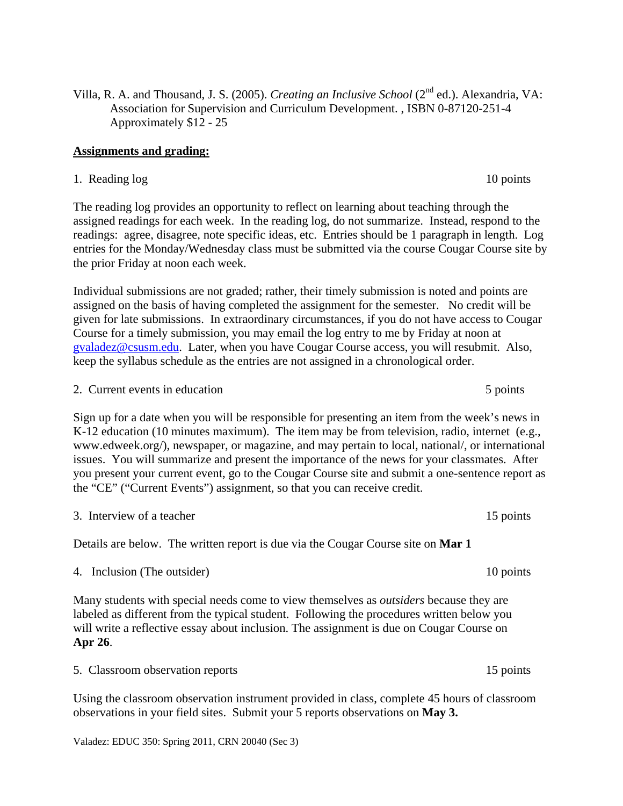Villa, R. A. and Thousand, J. S. (2005). *Creating an Inclusive School* (2nd ed.). Alexandria, VA: Association for Supervision and Curriculum Development. , ISBN 0-87120-251-4 Approximately \$12 - 25

## **Assignments and grading:**

1. Reading log 10 points

The reading log provides an opportunity to reflect on learning about teaching through the assigned readings for each week. In the reading log, do not summarize. Instead, respond to the readings: agree, disagree, note specific ideas, etc. Entries should be 1 paragraph in length. Log entries for the Monday/Wednesday class must be submitted via the course Cougar Course site by the prior Friday at noon each week.

Individual submissions are not graded; rather, their timely submission is noted and points are assigned on the basis of having completed the assignment for the semester. No credit will be given for late submissions. In extraordinary circumstances, if you do not have access to Cougar Course for a timely submission, you may email the log entry to me by Friday at noon at gvaladez@csusm.edu. Later, when you have Cougar Course access, you will resubmit. Also, keep the syllabus schedule as the entries are not assigned in a chronological order.

2. Current events in education 5 points 5 points

Sign up for a date when you will be responsible for presenting an item from the week's news in K-12 education (10 minutes maximum). The item may be from television, radio, internet (e.g., www.edweek.org/), newspaper, or magazine, and may pertain to local, national/, or international issues. You will summarize and present the importance of the news for your classmates. After you present your current event, go to the Cougar Course site and submit a one-sentence report as the "CE" ("Current Events") assignment, so that you can receive credit.

3. Interview of a teacher 15 points of  $\alpha$  teacher 15 points

Details are below. The written report is due via the Cougar Course site on **Mar 1** 

4. Inclusion (The outsider) 10 points

Many students with special needs come to view themselves as *outsiders* because they are labeled as different from the typical student. Following the procedures written below you will write a reflective essay about inclusion. The assignment is due on Cougar Course on **Apr 26**.

5. Classroom observation reports 15 points

Using the classroom observation instrument provided in class, complete 45 hours of classroom observations in your field sites. Submit your 5 reports observations on **May 3.** 

Valadez: EDUC 350: Spring 2011, CRN 20040 (Sec 3)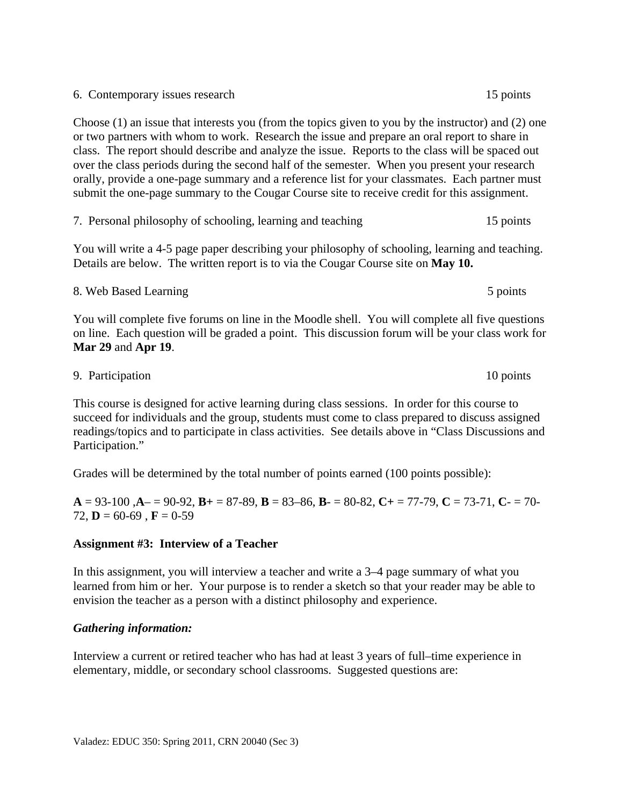6. Contemporary issues research 15 points

Choose (1) an issue that interests you (from the topics given to you by the instructor) and (2) one or two partners with whom to work. Research the issue and prepare an oral report to share in class. The report should describe and analyze the issue. Reports to the class will be spaced out over the class periods during the second half of the semester. When you present your research orally, provide a one-page summary and a reference list for your classmates. Each partner must submit the one-page summary to the Cougar Course site to receive credit for this assignment.

7. Personal philosophy of schooling, learning and teaching 15 points

You will write a 4-5 page paper describing your philosophy of schooling, learning and teaching. Details are below. The written report is to via the Cougar Course site on **May 10.** 

8. Web Based Learning 5 points 5 points 5 points 5 points 3 points You will complete five forums on line in the Moodle shell. You will complete all five questions on line. Each question will be graded a point. This discussion forum will be your class work for **Mar 29** and **Apr 19**.

9. Participation 10 points

This course is designed for active learning during class sessions. In order for this course to succeed for individuals and the group, students must come to class prepared to discuss assigned readings/topics and to participate in class activities. See details above in "Class Discussions and Participation."

Grades will be determined by the total number of points earned (100 points possible):

**A** = 93-100 ,**A**– = 90-92, **B+** = 87-89, **B** = 83–86, **B**- = 80-82, **C+** = 77-79, **C** = 73-71, **C**- = 70- 72,  $\mathbf{D} = 60 - 69$ ,  $\mathbf{F} = 0 - 59$ 

## **Assignment #3: Interview of a Teacher**

In this assignment, you will interview a teacher and write a 3–4 page summary of what you learned from him or her. Your purpose is to render a sketch so that your reader may be able to envision the teacher as a person with a distinct philosophy and experience.

## *Gathering information:*

Interview a current or retired teacher who has had at least 3 years of full–time experience in elementary, middle, or secondary school classrooms. Suggested questions are:

5 points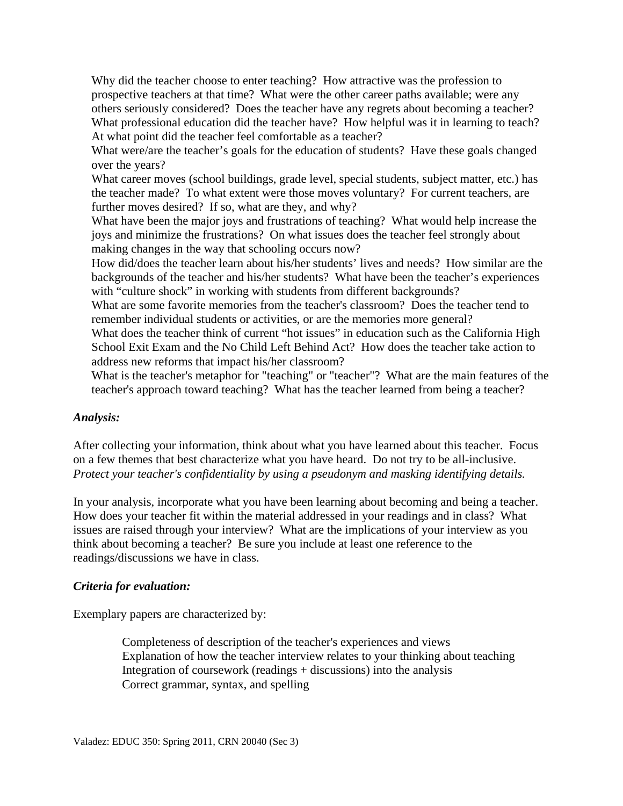What professional education did the teacher have? How helpful was it in learning to teach? Why did the teacher choose to enter teaching? How attractive was the profession to prospective teachers at that time? What were the other career paths available; were any others seriously considered? Does the teacher have any regrets about becoming a teacher? At what point did the teacher feel comfortable as a teacher?

What were/are the teacher's goals for the education of students? Have these goals changed over the years?

What career moves (school buildings, grade level, special students, subject matter, etc.) has the teacher made? To what extent were those moves voluntary? For current teachers, are further moves desired? If so, what are they, and why?

What have been the major joys and frustrations of teaching? What would help increase the joys and minimize the frustrations? On what issues does the teacher feel strongly about making changes in the way that schooling occurs now?

How did/does the teacher learn about his/her students' lives and needs? How similar are the backgrounds of the teacher and his/her students? What have been the teacher's experiences with "culture shock" in working with students from different backgrounds?

What are some favorite memories from the teacher's classroom? Does the teacher tend to remember individual students or activities, or are the memories more general?

What does the teacher think of current "hot issues" in education such as the California High School Exit Exam and the No Child Left Behind Act? How does the teacher take action to address new reforms that impact his/her classroom?

What is the teacher's metaphor for "teaching" or "teacher"? What are the main features of the teacher's approach toward teaching? What has the teacher learned from being a teacher?

## *Analysis:*

After collecting your information, think about what you have learned about this teacher. Focus on a few themes that best characterize what you have heard. Do not try to be all-inclusive. *Protect your teacher's confidentiality by using a pseudonym and masking identifying details.* 

In your analysis, incorporate what you have been learning about becoming and being a teacher. How does your teacher fit within the material addressed in your readings and in class? What issues are raised through your interview? What are the implications of your interview as you think about becoming a teacher? Be sure you include at least one reference to the readings/discussions we have in class.

## *Criteria for evaluation:*

Exemplary papers are characterized by:

Completeness of description of the teacher's experiences and views Explanation of how the teacher interview relates to your thinking about teaching Integration of coursework (readings + discussions) into the analysis Correct grammar, syntax, and spelling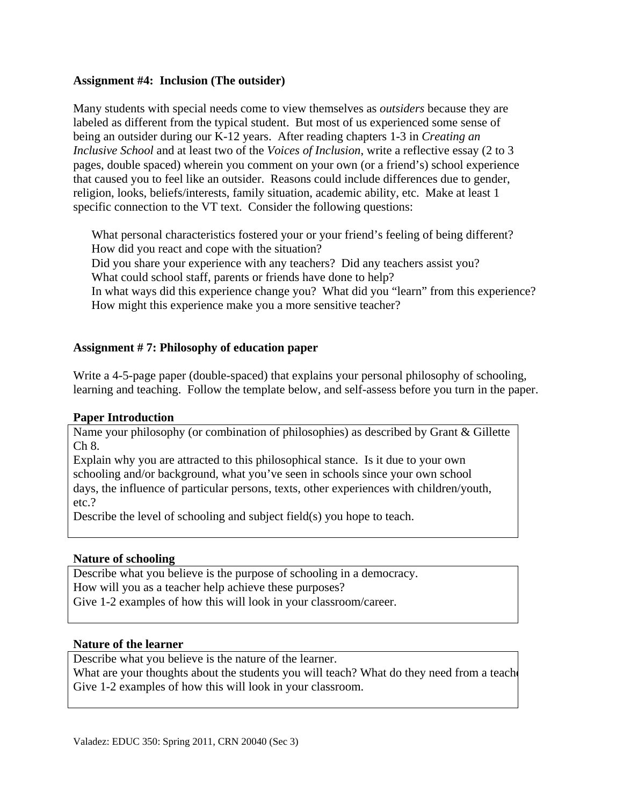## **Assignment #4: Inclusion (The outsider)**

Many students with special needs come to view themselves as *outsiders* because they are labeled as different from the typical student. But most of us experienced some sense of being an outsider during our K-12 years. After reading chapters 1-3 in *Creating an Inclusive School* and at least two of the *Voices of Inclusion*, write a reflective essay (2 to 3 pages, double spaced) wherein you comment on your own (or a friend's) school experience that caused you to feel like an outsider. Reasons could include differences due to gender, religion, looks, beliefs/interests, family situation, academic ability, etc. Make at least 1 specific connection to the VT text. Consider the following questions:

What personal characteristics fostered your or your friend's feeling of being different?<br>How did you react and cope with the situation?<br>Did you share your experience with any teachers? Did any teachers assist you? How did you react and cope with the situation?

What could school staff, parents or friends have done to help?

In what ways did this experience change you? What did you "learn" from this experience? How might this experience make you a more sensitive teacher?

# **Assignment # 7: Philosophy of education paper**

Write a 4-5-page paper (double-spaced) that explains your personal philosophy of schooling, learning and teaching. Follow the template below, and self-assess before you turn in the paper.

## **Paper Introduction**

Name your philosophy (or combination of philosophies) as described by Grant & Gillette Ch 8.

Explain why you are attracted to this philosophical stance. Is it due to your own schooling and/or background, what you've seen in schools since your own school days, the influence of particular persons, texts, other experiences with children/youth, etc.?

Describe the level of schooling and subject field(s) you hope to teach.

## **Nature of schooling**

Describe what you believe is the purpose of schooling in a democracy. How will you as a teacher help achieve these purposes? Give 1-2 examples of how this will look in your classroom/career.

#### **Nature of the learner**

Describe what you believe is the nature of the learner.

What are your thoughts about the students you will teach? What do they need from a teacher Give 1-2 examples of how this will look in your classroom.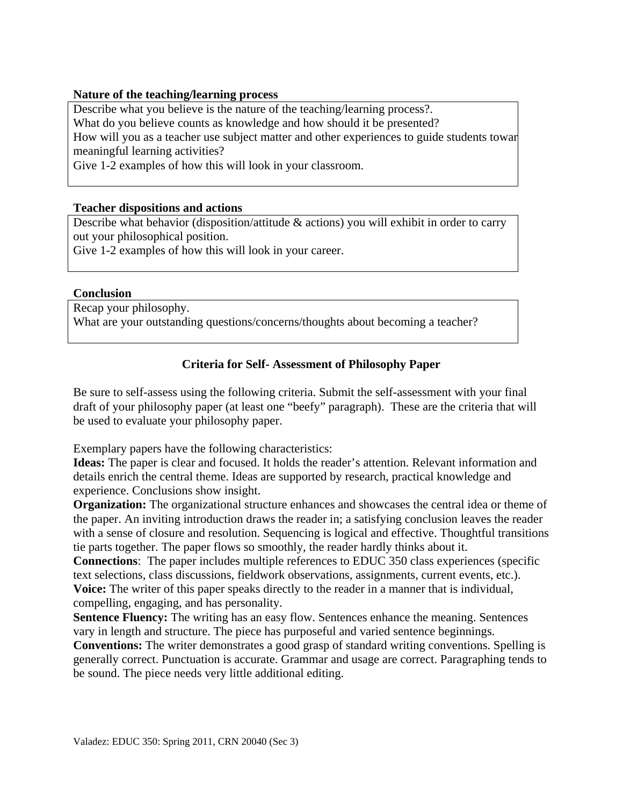## **Nature of the teaching/learning process**

 meaningful learning activities? Describe what you believe is the nature of the teaching/learning process?. What do you believe counts as knowledge and how should it be presented? How will you as a teacher use subject matter and other experiences to guide students towar

Give 1-2 examples of how this will look in your classroom.

## **Teacher dispositions and actions**

Describe what behavior (disposition/attitude & actions) you will exhibit in order to carry out your philosophical position.

Give 1-2 examples of how this will look in your career.

## **Conclusion**

Recap your philosophy. What are your outstanding questions/concerns/thoughts about becoming a teacher?

# **Criteria for Self- Assessment of Philosophy Paper**

Be sure to self-assess using the following criteria. Submit the self-assessment with your final draft of your philosophy paper (at least one "beefy" paragraph). These are the criteria that will be used to evaluate your philosophy paper.

Exemplary papers have the following characteristics:

**Ideas:** The paper is clear and focused. It holds the reader's attention. Relevant information and details enrich the central theme. Ideas are supported by research, practical knowledge and experience. Conclusions show insight.

**Organization:** The organizational structure enhances and showcases the central idea or theme of the paper. An inviting introduction draws the reader in; a satisfying conclusion leaves the reader with a sense of closure and resolution. Sequencing is logical and effective. Thoughtful transitions tie parts together. The paper flows so smoothly, the reader hardly thinks about it.

**Connections**: The paper includes multiple references to EDUC 350 class experiences (specific text selections, class discussions, fieldwork observations, assignments, current events, etc.). **Voice:** The writer of this paper speaks directly to the reader in a manner that is individual, compelling, engaging, and has personality.

**Sentence Fluency:** The writing has an easy flow. Sentences enhance the meaning. Sentences vary in length and structure. The piece has purposeful and varied sentence beginnings.

**Conventions:** The writer demonstrates a good grasp of standard writing conventions. Spelling is generally correct. Punctuation is accurate. Grammar and usage are correct. Paragraphing tends to be sound. The piece needs very little additional editing.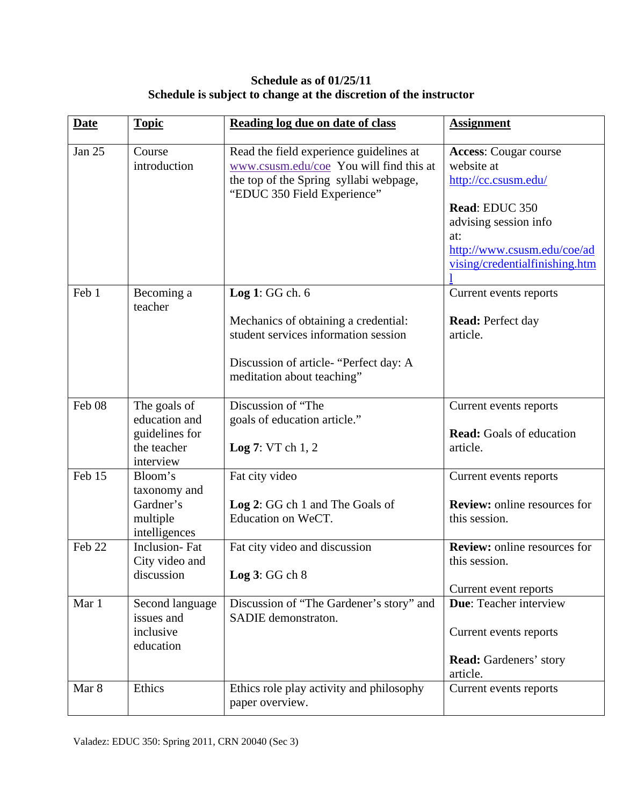# **Schedule as of 01/25/11 Schedule is subject to change at the discretion of the instructor**

| <b>Date</b> | <b>Topic</b>                                                | Reading log due on date of class                                                                                                                            | <b>Assignment</b>                                                                                                                                                                     |
|-------------|-------------------------------------------------------------|-------------------------------------------------------------------------------------------------------------------------------------------------------------|---------------------------------------------------------------------------------------------------------------------------------------------------------------------------------------|
| Jan 25      | Course<br>introduction                                      | Read the field experience guidelines at<br>www.csusm.edu/coe You will find this at<br>the top of the Spring syllabi webpage,<br>"EDUC 350 Field Experience" | <b>Access:</b> Cougar course<br>website at<br>http://cc.csusm.edu/<br>Read: EDUC 350<br>advising session info<br>at:<br>http://www.csusm.edu/coe/ad<br>vising/credentialfinishing.htm |
|             |                                                             |                                                                                                                                                             |                                                                                                                                                                                       |
| Feb 1       | Becoming a<br>teacher                                       | Log 1: GG ch. $6$                                                                                                                                           | Current events reports                                                                                                                                                                |
|             |                                                             | Mechanics of obtaining a credential:<br>student services information session<br>Discussion of article- "Perfect day: A<br>meditation about teaching"        | <b>Read:</b> Perfect day<br>article.                                                                                                                                                  |
| Feb 08      | The goals of                                                | Discussion of "The                                                                                                                                          | Current events reports                                                                                                                                                                |
|             | education and<br>guidelines for<br>the teacher<br>interview | goals of education article."<br>Log $7: VTch 1, 2$                                                                                                          | <b>Read:</b> Goals of education<br>article.                                                                                                                                           |
| Feb 15      | Bloom's                                                     | Fat city video                                                                                                                                              | Current events reports                                                                                                                                                                |
|             | taxonomy and<br>Gardner's<br>multiple<br>intelligences      | Log 2: GG ch 1 and The Goals of<br>Education on WeCT.                                                                                                       | <b>Review:</b> online resources for<br>this session.                                                                                                                                  |
| Feb 22      | <b>Inclusion-Fat</b><br>City video and                      | Fat city video and discussion                                                                                                                               | <b>Review:</b> online resources for<br>this session.                                                                                                                                  |
|             | discussion                                                  | Log $3:GGch 8$                                                                                                                                              | Current event reports                                                                                                                                                                 |
| Mar 1       | Second language<br>issues and<br>inclusive<br>education     | Discussion of "The Gardener's story" and<br>SADIE demonstraton.                                                                                             | Due: Teacher interview<br>Current events reports                                                                                                                                      |
|             |                                                             |                                                                                                                                                             | <b>Read:</b> Gardeners' story<br>article.                                                                                                                                             |
| Mar 8       | Ethics                                                      | Ethics role play activity and philosophy<br>paper overview.                                                                                                 | Current events reports                                                                                                                                                                |